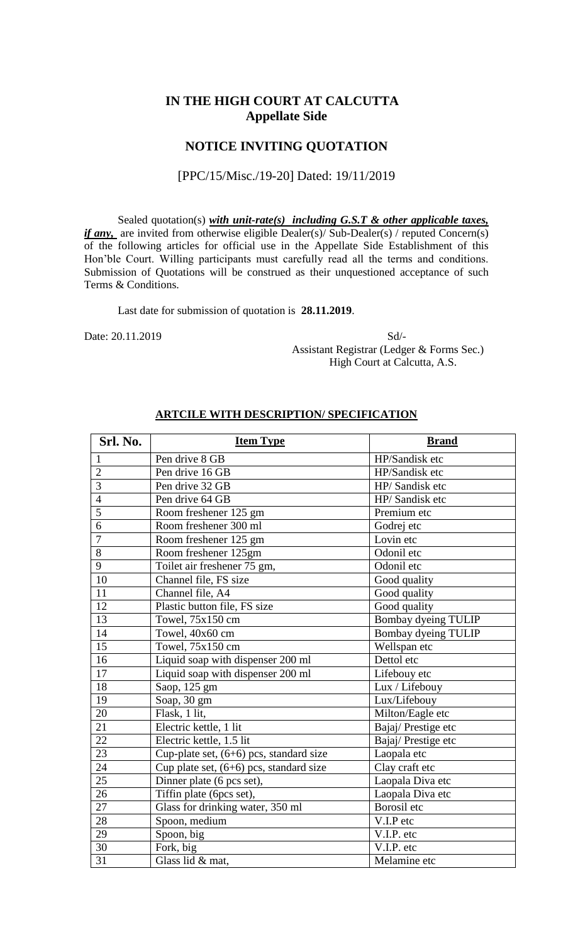### **IN THE HIGH COURT AT CALCUTTA Appellate Side**

### **NOTICE INVITING QUOTATION**

#### [PPC/15/Misc./19-20] Dated: 19/11/2019

Sealed quotation(s) *with unit-rate(s) including G.S.T & other applicable taxes, if any*, are invited from otherwise eligible Dealer(s)/ Sub-Dealer(s) / reputed Concern(s) of the following articles for official use in the Appellate Side Establishment of this Hon'ble Court. Willing participants must carefully read all the terms and conditions. Submission of Quotations will be construed as their unquestioned acceptance of such Terms & Conditions.

Last date for submission of quotation is **28.11.2019**.

Date: 20.11.2019 Sd/- Assistant Registrar (Ledger & Forms Sec.) High Court at Calcutta, A.S.

| Srl. No.        | <b>Item Type</b>                          | <b>Brand</b>        |  |
|-----------------|-------------------------------------------|---------------------|--|
| $\mathbf{1}$    | Pen drive 8 GB                            | HP/Sandisk etc      |  |
| $\overline{2}$  | Pen drive 16 GB                           | HP/Sandisk etc      |  |
| $\overline{3}$  | Pen drive 32 GB                           | HP/Sandisk etc      |  |
| $\overline{4}$  | Pen drive 64 GB                           | HP/Sandisk etc      |  |
| 5               | Room freshener 125 gm                     | Premium etc         |  |
| $\overline{6}$  | Room freshener 300 ml                     | Godrej etc          |  |
| $\overline{7}$  | Room freshener 125 gm                     | Lovin etc           |  |
| 8               | Room freshener 125gm                      | Odonil etc          |  |
| 9               | Toilet air freshener 75 gm,               | Odonil etc          |  |
| 10              | Channel file, FS size                     | Good quality        |  |
| 11              | Channel file, A4                          | Good quality        |  |
| 12              | Plastic button file, FS size              | Good quality        |  |
| 13              | Towel, 75x150 cm                          | Bombay dyeing TULIP |  |
| 14              | Towel, 40x60 cm                           | Bombay dyeing TULIP |  |
| 15              | Towel, 75x150 cm                          | Wellspan etc        |  |
| 16              | Liquid soap with dispenser 200 ml         | Dettol etc          |  |
| 17              | Liquid soap with dispenser 200 ml         | Lifebouy etc        |  |
| 18              | Saop, 125 gm                              | Lux / Lifebouy      |  |
| 19              | Soap, 30 gm                               | Lux/Lifebouy        |  |
| 20              | Flask, 1 lit,                             | Milton/Eagle etc    |  |
| 21              | Electric kettle, 1 lit                    | Bajaj/Prestige etc  |  |
| 22              | Electric kettle, 1.5 lit                  | Bajaj/Prestige etc  |  |
| 23              | Cup-plate set, $(6+6)$ pcs, standard size | Laopala etc         |  |
| 24              | Cup plate set, (6+6) pcs, standard size   | Clay craft etc      |  |
| $\overline{25}$ | Dinner plate (6 pcs set),                 | Laopala Diva etc    |  |
| 26              | Tiffin plate (6pcs set),                  | Laopala Diva etc    |  |
| 27              | Glass for drinking water, 350 ml          | Borosil etc         |  |
| 28              | Spoon, medium                             | V.I.P etc           |  |
| 29              | Spoon, big                                | V.I.P. etc          |  |
| 30              | Fork, big                                 | V.I.P. etc          |  |
| 31              | Glass lid & mat,                          | Melamine etc        |  |

#### **ARTCILE WITH DESCRIPTION/ SPECIFICATION**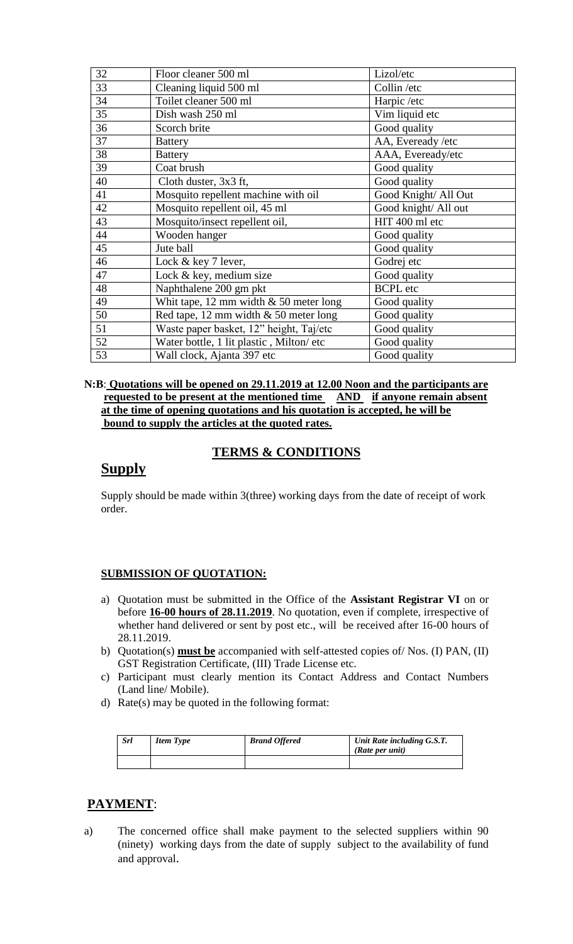| 32 | Floor cleaner 500 ml                     | Lizol/etc            |  |
|----|------------------------------------------|----------------------|--|
| 33 | Cleaning liquid 500 ml                   | Collin /etc          |  |
| 34 | Toilet cleaner 500 ml                    | Harpic /etc          |  |
| 35 | Dish wash 250 ml                         | Vim liquid etc       |  |
| 36 | Scorch brite                             | Good quality         |  |
| 37 | <b>Battery</b>                           | AA, Eveready / etc   |  |
| 38 | <b>Battery</b>                           | AAA, Eveready/etc    |  |
| 39 | Coat brush                               | Good quality         |  |
| 40 | Cloth duster, 3x3 ft,                    | Good quality         |  |
| 41 | Mosquito repellent machine with oil      | Good Knight/ All Out |  |
| 42 | Mosquito repellent oil, 45 ml            | Good knight/ All out |  |
| 43 | Mosquito/insect repellent oil,           | HIT 400 ml etc       |  |
| 44 | Wooden hanger                            | Good quality         |  |
| 45 | Jute ball                                | Good quality         |  |
| 46 | Lock & key 7 lever,                      | Godrej etc           |  |
| 47 | Lock & key, medium size                  | Good quality         |  |
| 48 | Naphthalene 200 gm pkt                   | <b>BCPL</b> etc      |  |
| 49 | Whit tape, 12 mm width $& 50$ meter long | Good quality         |  |
| 50 | Red tape, 12 mm width $& 50$ meter long  | Good quality         |  |
| 51 | Waste paper basket, 12" height, Taj/etc  | Good quality         |  |
| 52 | Water bottle, 1 lit plastic, Milton/ etc | Good quality         |  |
| 53 | Wall clock, Ajanta 397 etc               | Good quality         |  |

#### **N:B**: **Quotations will be opened on 29.11.2019 at 12.00 Noon and the participants are requested to be present at the mentioned time AND if anyone remain absent at the time of opening quotations and his quotation is accepted, he will be bound to supply the articles at the quoted rates.**

# **TERMS & CONDITIONS**

## **Supply**

Supply should be made within 3(three) working days from the date of receipt of work order.

#### **SUBMISSION OF QUOTATION:**

- a) Quotation must be submitted in the Office of the **Assistant Registrar VI** on or before **16-00 hours of 28.11.2019**. No quotation, even if complete, irrespective of whether hand delivered or sent by post etc., will be received after 16-00 hours of 28.11.2019.
- b) Quotation(s) **must be** accompanied with self-attested copies of/ Nos. (I) PAN, (II) GST Registration Certificate, (III) Trade License etc.
- c) Participant must clearly mention its Contact Address and Contact Numbers (Land line/ Mobile).
- d) Rate(s) may be quoted in the following format:

| <b>Srl</b> | <b>Item Type</b> | <b>Brand Offered</b> | Unit Rate including G.S.T.<br>(Rate per unit) |
|------------|------------------|----------------------|-----------------------------------------------|
|            |                  |                      |                                               |

# **PAYMENT**:

a) The concerned office shall make payment to the selected suppliers within 90 (ninety) working days from the date of supply subject to the availability of fund and approval.